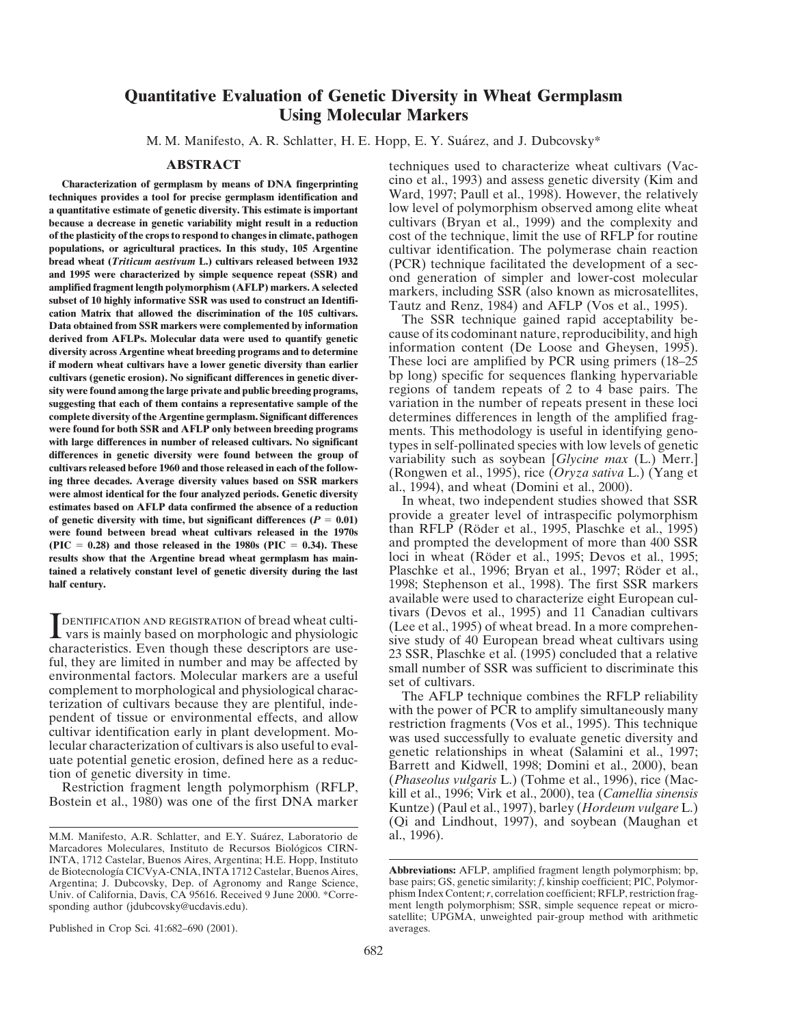## **Quantitative Evaluation of Genetic Diversity in Wheat Germplasm Using Molecular Markers**

M. M. Manifesto, A. R. Schlatter, H. E. Hopp, E. Y. Suárez, and J. Dubcovsky\*

techniques provides a tool for precise germplasm identification and **a quantitative estimate of genetic diversity. This estimate is important** low level of polymorphism observed among elite wheat **because a decrease in genetic variability might result in a reduction** cultivars (Bryan et al., 1999) and the complexity and of the plasticity of the crops to respond to changes in climate, pathogen cost of the technique, **of the plasticity of the crops to respond to changes in climate, pathogen** cost of the technique, limit the use of RFLP for routine **populations, or agricultural practices. In this study, 105 Argentine** cultivar identification. The polymerase chain reaction bread wheat *(Triticum aestivum L.)* cultivars released between 1932 *(PCR)* technique facilitat bread wheat (*Triticum aestivum* L.) cultivars released between 1932 (PCR) technique facilitated the development of a sec-<br>and 1995 were characterized by simple sequence repeat (SSR) and<br>amplified fragment length polymorph diversity across Argentine wheat breeding programs and to determine<br> **if modern wheat cultivars have a lower genetic diversity than earlier**<br>
These loci are amplified by PCR using primers (18–25<br>
cultivars (genetic erosion **cultivars (genetic erosion). No significant differences in genetic diver-** bp long) specific for sequences flanking hypervariable sity were found among the large private and public breeding programs, **suggesting that each of them contains a representative sample of the** variation in the number of repeats present in these loci **complete diversity of the Argentine germplasm. Significant differences** determines differences in length of the amplified frag-<br>were found for both SSR and AFLP only between breeding programs ments. This methodology is us **were found for both SSR and AFLP only between breeding programs** ments. This methodology is useful in identifying geno-<br>with large differences in number of released cultivars. No significant the properties with low levels with large differences in number of released cultivars. No significant<br>differences in genetic diversity were found between the group of<br>cultivars released before 1960 and those released in each of the follow-<br>ing three dec **of genetic diversity with time, but significant differences**  $(P = 0.01)$  **provide a greater level of intraspecific polymorphism** were found between bread wheat cultivars released in the 1970s than RFLP (Röder et al., 1995, Plaschke et al., 1995)<br>(PIC = 0.28) and those released in the 1980s (PIC = 0.34). These and prompted the development of more th  $(PIC = 0.28)$  and those released in the 1980s  $(PIC = 0.34)$ . These **results show that the Argentine bread wheat germplasm has main-** loci in wheat (Röder et al., 1995; Devos et al., 1995; tained a relatively constant level of genetic diversity during the last<br>half century.<br>1998: Stephenson et al., 1998). The first SSR markers

**IDENTIFICATION AND REGISTRATION Of bread wheat culti-**<br>
Various (Lee et al., 1995) of wheat bread. In a more comprehen-<br>
characteristics. Even though these descriptors are use-<br>
til, they are limited in number and may be

Published in Crop Sci. 41:682–690 (2001).  $\alpha$  averages.

**ABSTRACT** techniques used to characterize wheat cultivars (Vac-**Characterization of germplasm by means of DNA fingerprinting** cino et al., 1993) and assess genetic diversity (Kim and

1998; Stephenson et al., 1998). The first SSR markers available were used to characterize eight European cul-TENTIFICATION AND REGISTRATION Of bread wheat culti-<br>
vars is mainly based on morphologic and physiologic<br>
characteristics. Even though these descriptors are use-<br>
fails and the set al., 1995) of wheat bread. In a more com

(Qi and Lindhout, 1997), and soybean (Maughan et

M.M. Manifesto, A.R. Schlatter, and E.Y. Suárez, Laboratorio de Marcadores Moleculares, Instituto de Recursos Biológicos CIRN-INTA, 1712 Castelar, Buenos Aires, Argentina; H.E. Hopp, Instituto de Biotecnología CICVyA-CNIA, INTA 1712 Castelar, Buenos Aires, **Abbreviations:** AFLP, amplified fragment length polymorphism; bp, Argentina; J. Dubcovsky, Dep. of Agronomy and Range Science, base pairs; GS, genetic simila

Argentina; J. Dubcovsky, Dep. of Agronomy and Range Science, base pairs; GS, genetic similarity; *f*, kinship coefficient; PIC, Polymor-Univ. of California, Davis, CA 95616. Received 9 June 2000. \*Corre- phism Index Content;*r*, correlation coefficient; RFLP, restriction fragsponding author (jdubcovsky@ucdavis.edu). ment length polymorphism; SSR, simple sequence repeat or microsatellite; UPGMA, unweighted pair-group method with arithmetic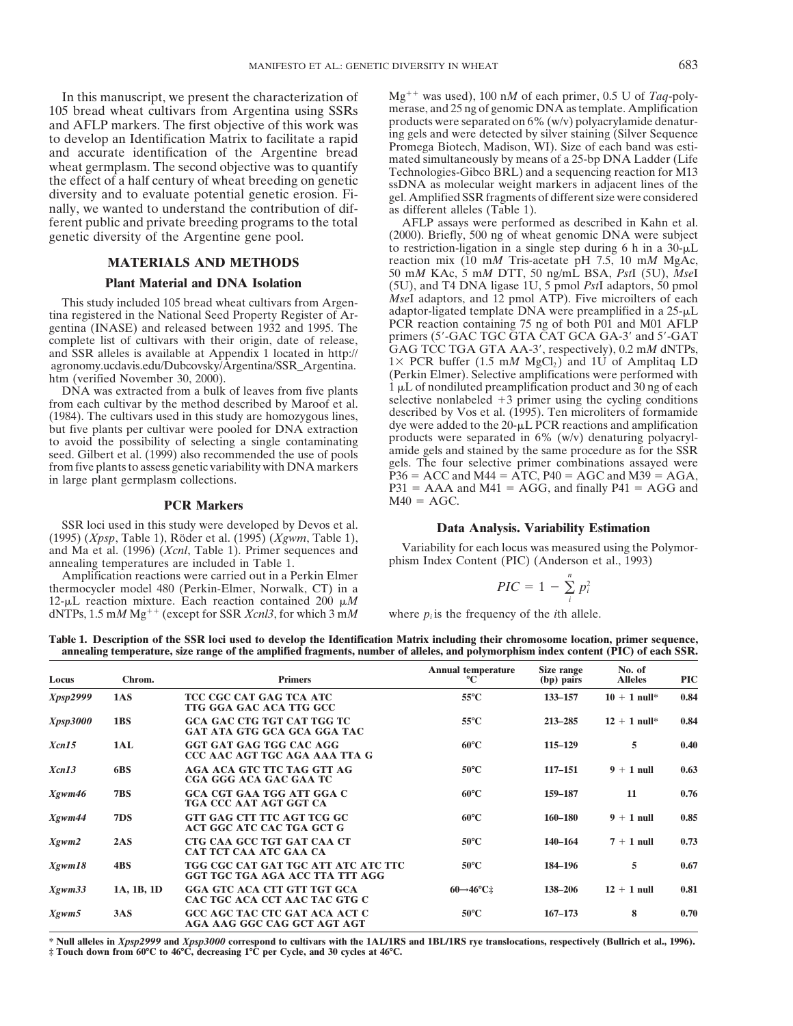105 bread wheat cultivars from Argentina using SSRs merase, and 25 ng of genomic DNA as template. Amplification<br>and AFI P markers. The first objective of this work was products were separated on 6% (w/v) polyacrylamide den and AFLP markers. The first objective of this work was<br>to develop an Identification Matrix to facilitate a rapid<br>and accurate identification of the Argentine bread<br>wheat germplasm. The second objective was to quantify<br>the ferent public and private breeding programs to the total AFLP assays were performed as described in Kahn et al.

### **PCR Markers** M40 = AGC.

SSR loci used in this study were developed by Devos et al. **Data Analysis. Variability Estimation** (1995) (*Xpsp*, Table 1), Röder et al. (1995) (*Xgwm*, Table 1), Variability for each locus was measured using the Polymorn and Ma et al. (1996) (*Xcnl*, Table 1). Primer sequences and Variability for each locus was measured using the Polymor- annealing temperatures are included in Table 1. annealing temperatures are included in Table 1.

Amplification reactions were carried out in a Perkin Elmer *PIC* =  $1 - \sum_{i=1}^{n} p_i^2$  *PIC* =  $1 - \sum_{i=1}^{n} p_i^2$ 12- $\mu$ L reaction mixture. Each reaction contained 200  $\mu$ *M* dNTPs, 1.5 m*M* Mg<sup>++</sup> (except for SSR *Xcnl3*, for which 3 m*M* where  $p_i$  is the frequency of the *i*th allele.

In this manuscript, we present the characterization of  $Mg^{++}$  was used), 100 n*M* of each primer, 0.5 U of *Taq*-poly-<br>15 bread wheat cultivars from Argentina using SSRs merase, and 25 ng of genomic DNA as template. Ampl

genetic diversity of the Argentine gene pool. (2000). Briefly, 500 ng of wheat genomic DNA were subject to restriction-ligation in a single step during 6 h in a  $30 - \mu L$ **MATERIALS AND METHODS** reaction mix (10 mM Tris-acetate pH 7.5, 10 mM MgAc, 50 m*M* KAc, 5 m*M* DTT, 50 ng/mL BSA, *Pst*I (5U), *Mse*I **Plant Material and DNA Isolation** (5U), and T4 DNA ligase 1U, 5 pmol PstI adaptors, 50 pmol<br>wincluded 105 bread wheat cultivars from Argen-<br>MseI adaptors, and 12 pmol ATP). Five microilters of each This study included 105 bread wheat cultivars from Argen-<br>tina registered in the National Seed Property Register of Ar-<br>gentina (INASE) and released between 1932 and 1995. The<br>complete list of cultivars with their origin, agronomy.ucdavis.edu/Dubcovsky/Argentina/SSR\_Argentina.<br>
htm (verified November 30, 2000).<br>
DNA was extracted from a bulk of leaves from five plants<br>  $1 \mu$ L of nondiluted preamplification product and 30 ng of each DNA was extracted from a bulk of leaves from five plants  $\frac{1 \mu L}{2}$  or nondiluted preamplification product and 30 ng of each product and 30 ng of each product and 30 ng of each product and 30 ng of each product and 30 n from each cultivar by the method described by Maroof et al.<br>
(1984). The cultivars used in this study are homozygous lines,<br>
but five plants per cultivar were pooled for DNA extraction<br>
to avoid the possibility of selecti seed. Gilbert et al. (1999) also recommended the use of pools amide gels and stained by the same procedure as for the SSR<br>from five plants to assess genetic variability with DNA markers gels. The four selective primer comb from five plants to assess genetic variability with DNA markers<br>in large plant germplasm collections.<br> $P36 = ACC$  and  $M44 = ATC$ ,  $P40 = AGC$  and  $M39 = AGA$ ,<br> $P31 = AAA$  and  $M41 = AGG$ , and finally  $P41 = AGG$  and

$$
PIC = 1 - \sum_{i}^{n} p_i^2
$$

**Table 1. Description of the SSR loci used to develop the Identification Matrix including their chromosome location, primer sequence, annealing temperature, size range of the amplified fragments, number of alleles, and polymorphism index content (PIC) of each SSR.**

| Locus           | Chrom.     | <b>Primers</b>                                                          | <b>Annual temperature</b><br>°C | Size range<br>(bp) pairs | No. of<br><b>Alleles</b> | <b>PIC</b> |
|-----------------|------------|-------------------------------------------------------------------------|---------------------------------|--------------------------|--------------------------|------------|
| <i>Xpsp2999</i> | 1AS        | TCC CGC CAT GAG TCA ATC<br>TTG GGA GAC ACA TTG GCC                      | $55^{\circ}$ C                  | 133-157                  | $10 + 1$ null*           | 0.84       |
| Xpsp3000        | 1BS        | <b>GCA GAC CTG TGT CAT TGG TC</b><br><b>GAT ATA GTG GCA GCA GGA TAC</b> | $55^{\circ}$ C                  | 213-285                  | $12 + 1$ null*           | 0.84       |
| Xcn15           | 1AL        | GGT GAT GAG TGG CAC AGG<br>CCC AAC AGT TGC AGA AAA TTA G                | $60^{\circ}$ C                  | 115-129                  | 5                        | 0.40       |
| Xcn13           | 6BS        | <b>AGA ACA GTC TTC TAG GTT AG</b><br>CGA GGG ACA GAC GAA TC             | $50^{\circ}$ C                  | $117 - 151$              | $9 + 1$ null             | 0.63       |
| Xgwm46          | <b>7BS</b> | <b>GCA CGT GAA TGG ATT GGA C</b><br>TGA CCC AAT AGT GGT CA              | $60^{\circ}$ C                  | 159-187                  | 11                       | 0.76       |
| Xgwm44          | 7DS        | GTT GAG CTT TTC AGT TCG GC<br>ACT GGC ATC CAC TGA GCT G                 | $60^{\circ}$ C                  | 160-180                  | $9 + 1$ null             | 0.85       |
| Xgwm2           | 2AS        | CTG CAA GCC TGT GAT CAA CT<br>CAT TCT CAA ATC GAA CA                    | $50^{\circ}$ C                  | 140-164                  | $7 + 1$ null             | 0.73       |
| Xgwm18          | 4BS        | TGG CGC CAT GAT TGC ATT ATC ATC TTC<br>GGT TGC TGA AGA ACC TTA TTT AGG  | $50^{\circ}$ C                  | 184-196                  | 5                        | 0.67       |
| Xgwm33          | 1A, 1B, 1D | <b>GGA GTC ACA CTT GTT TGT GCA</b><br>CAC TGC ACA CCT AAC TAC GTG C     | $60\rightarrow 46^{\circ}$ C‡   | 138-206                  | $12 + 1$ null            | 0.81       |
| Xgwm5           | 3AS        | GCC AGC TAC CTC GAT ACA ACT C<br>AGA AAG GGC CAG GCT AGT AGT            | $50^{\circ}$ C                  | $167 - 173$              | 8                        | 0.70       |

**\* Null alleles in** *Xpsp2999* **and** *Xpsp3000* **correspond to cultivars with the 1AL/1RS and 1BL/1RS rye translocations, respectively (Bullrich et al., 1996). ‡ Touch down from 60**8**C to 46**8**C, decreasing 1**8**C per Cycle, and 30 cycles at 46**8**C.**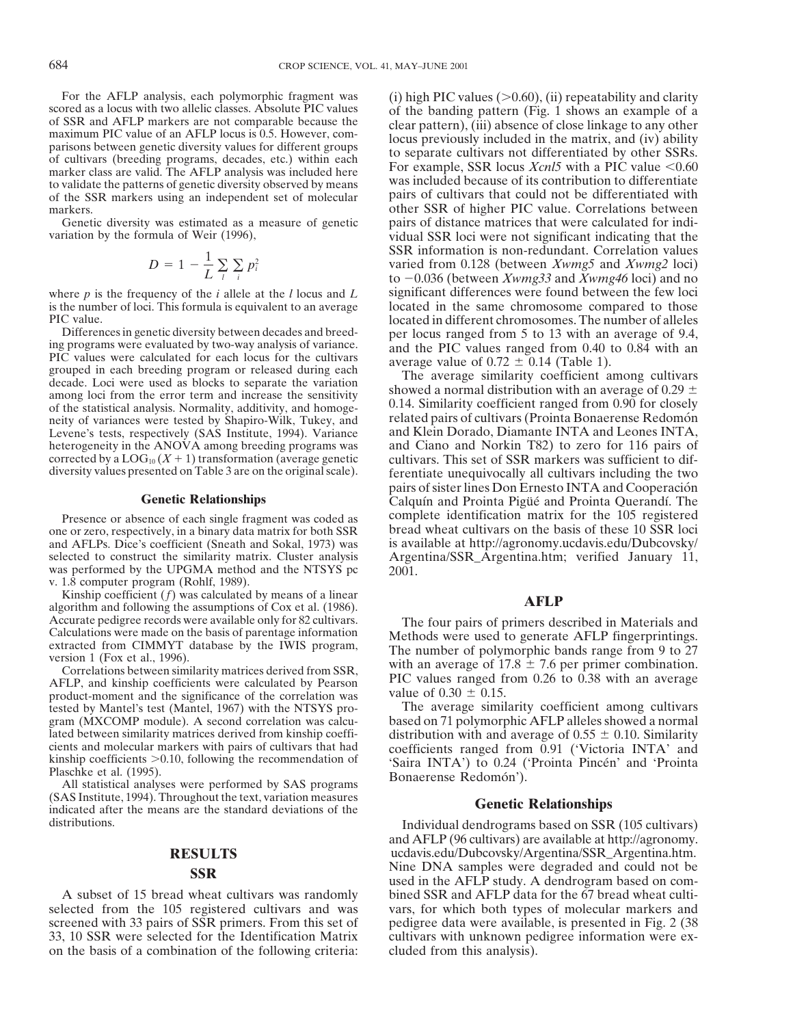to validate the patterns of genetic diversity observed by means<br>of the SSR markers using an independent set of molecular pairs of cultivars that could not be differentiated with

$$
D = 1 - \frac{1}{L} \sum_{i} \sum_{i} p_i^2
$$

Differences in genetic diversity between decades and breed-<br>ing programs were evaluated by two-way analysis of variance.<br>PIC values ranged from 0.40 to 0.84 with an<br>PIC values were calculated for each locus for the cultiv neity of variances were tested by Shapiro-Wilk, Tukey, and

one or zero, respectively, in a binary data matrix for both SSR bread wheat cultivars on the basis of these 10 SSR loci<br>and AFLPs. Dice's coefficient (Sneath and Sokal, 1973) was is available at http://agronomy.ucdavis.edu and AFLPs. Dice's coefficient (Sneath and Sokal, 1973) was selected to construct the similarity matrix. Cluster analysis was performed by the UPGMA method and the NTSYS pc v. 1.8 computer program (Rohlf, 1989).<br>Kinship coefficient  $(f)$  was calculated by means of a linear

Kinship coefficient (*f*) was calculated by means of a linear **AFLP** algorithm and following the assumptions of Cox et al. (1986).<br>Accurate pedigree records were available only for 82 cultivars. The four pairs of primers d

product-moment and the significance of the correlation was value of  $0.30 \pm 0.15$ .<br>tested by Mantel's test (Mantel, 1967) with the NTSYS pro-<br>The average similarity coefficient among cultivars tested by Mantel's test (Mantel, 1967) with the NTSYS program (MXCOMP module). A second correlation was calcugram (MXCOMP module). A second correlation was calcu-<br>lated between similarity matrices derived from kinship coeffi-<br>distribution with and average of  $0.55 \pm 0.10$ . Similarity

(SAS Institute, 1994). Throughout the text, variation measures indicated after the means are the standard deviations of the **Genetic Relationships** 

on the basis of a combination of the following criteria: cluded from this analysis).

For the AFLP analysis, each polymorphic fragment was<br>scored as a locus with two allelic classes. Absolute PIC values<br>of SSR and AFLP markers are not comparable because the<br>maximum PIC value of an AFLP locus is 0.5. Howeve markers.<br>
Genetic diversity was estimated as a measure of genetic pairs of distance matrices that were calculated for indi-Genetic diversity was estimated as a measure of genetic pairs of distance matrices that were calculated for individual SSR loci were not significant indicating that the vidual SSR loci were not significant indicating that vidual SSR loci were not significant indicating that the SSR information is non-redundant. Correlation values *D* 5 varied from 0.128 (between *Xwmg5* and *Xwmg2* loci) to 20.036 (between *Xwmg33* and *Xwmg46* loci) and no where *p* is the frequency of the *i* allele at the *l* locus and *L* significant differences were found between the few loci is the number of loci. This formula is equivalent to an average located in the same chromosome compared to those PIC value.<br>Differences in genetic diversity between decades and breed-<br>Differences in genetic diversity between decades and breed-<br>per locus ranged from 5 to 13 with an average of 9.4

accade. Even were used as blocks to separate the variation<br>  $\frac{1}{2}$  showed a normal distribution with an average of 0.29  $\pm$ <br>
of the statistical analysis Normality additivity and homoge. 0.14. Similarity coefficient ra of the statistical analysis. Normality, additivity, and homoge-<br>neity of variances were tested by Shapiro-Wilk. Tukey, and related pairs of cultivars (Prointa Bonaerense Redomón Levene's tests, respectively (SAS Institute, 1994). Variance and Klein Dorado, Diamante INTA and Leones INTA, heterogeneity in the ANOVA among breeding programs was and Ciano and Norkin T82) to zero for 116 pairs of corrected by a LOG<sub>10</sub>  $(X + 1)$  transformation (average genetic cultivars. This set of SSR markers was sufficient to corrected by a  $LOG_{10}(X + 1)$  transformation (average genetic cultivars. This set of SSR markers was sufficient to dif-<br>diversity values presented on Table 3 are on the original scale). <br>ferentiate unequivocally all cultiva ferentiate unequivocally all cultivars including the two pairs of sister lines Don Ernesto INTA and Cooperación **Genetic Relationships** Calquín and Prointa Pigue and Prointa Querandí. The Presence or absence of each single fragment was coded as complete identification matrix for the 105 registered<br>e or zero, respectively in a binary data matrix for both SSR bread wheat cultivars on the basis of these 10 SSR Argentina/SSR\_Argentina.htm; verified January 11, 2001.

Accurate pedigree records were available only for 82 cultivars.<br>Calculations were made on the basis of parentage information<br>extracted from CIMMYT database by the IWIS program,<br>version 1 (Fox et al., 1996).<br>Correlations b Correlations between similarity matrices derived from SSR,<br>AFLP, and kinship coefficients were calculated by Pearson PIC values ranged from 0.26 to 0.38 with an average<br>product-moment and the significance of the correlati

Lated between similarity matrices derived from kinship coefficients<br>cients and molecular markers with pairs of cultivars that had<br>kinship coefficients ranged from 0.91 ('Victoria INTA' and<br>kinship coefficients >0.10, foll

distributions. Individual dendrograms based on SSR (105 cultivars) and AFLP (96 cultivars) are available at http://agronomy. **RESULTS** ucdavis.edu/Dubcovsky/Argentina/SSR\_Argentina.htm. **SSR** Nine DNA samples were degraded and could not be used in the AFLP study. A dendrogram based on com-A subset of 15 bread wheat cultivars was randomly bined SSR and AFLP data for the 67 bread wheat cultiselected from the 105 registered cultivars and was vars, for which both types of molecular markers and screened with 33 pairs of SSR primers. From this set of pedigree data were available, is presented in Fig. 2 (38 33, 10 SSR were selected for the Identification Matrix cultivars with unknown pedigree information were ex-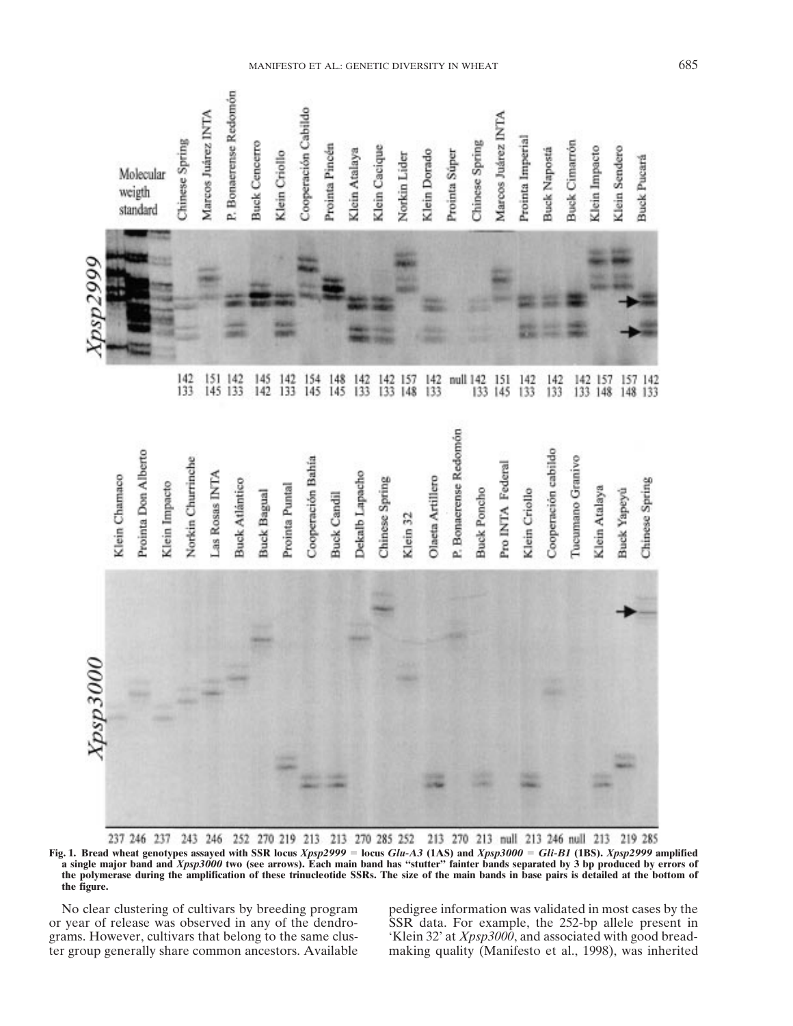

237 246 237 243 246 252 270 219 213 213 270 285 252 213 270 213 null 213 246 null 213 219 285 **Fig. 1. Bread wheat genotypes assayed with SSR locus** *Xpsp2999* 5 **locus** *Glu-A3* **(1AS) and** *Xpsp3000* 5 *Gli-B1* **(1BS).** *Xpsp2999* **amplified a single major band and** *Xpsp3000* **two (see arrows). Each main band has "stutter" fainter bands separated by 3 bp produced by errors of the polymerase during the amplification of these trinucleotide SSRs. The size of the main bands in base pairs is detailed at the bottom of the figure.**

or year of release was observed in any of the dendro- SSR data. For example, the 252-bp allele present in grams. However, cultivars that belong to the same clus- 'Klein 32' at *Xpsp3000*, and associated with good breadter group generally share common ancestors. Available making quality (Manifesto et al., 1998), was inherited

No clear clustering of cultivars by breeding program pedigree information was validated in most cases by the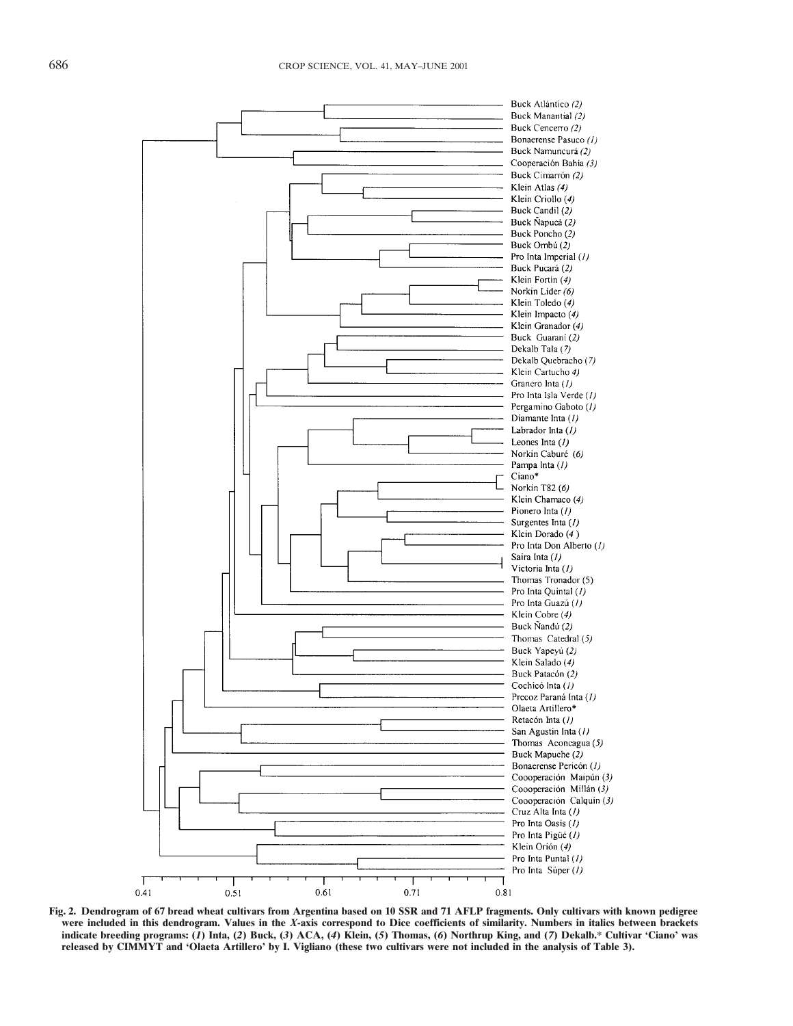

**Fig. 2. Dendrogram of 67 bread wheat cultivars from Argentina based on 10 SSR and 71 AFLP fragments. Only cultivars with known pedigree were included in this dendrogram. Values in the** *X***-axis correspond to Dice coefficients of similarity. Numbers in italics between brackets** indicate breeding programs: (1) Inta, (2) Buck, (3) ACA, (4) Klein, (5) Thomas, (6) Northrup King, and (7) Dekalb.\* Cultivar 'Ciano' was **released by CIMMYT and 'Olaeta Artillero' by I. Vigliano (these two cultivars were not included in the analysis of Table 3).**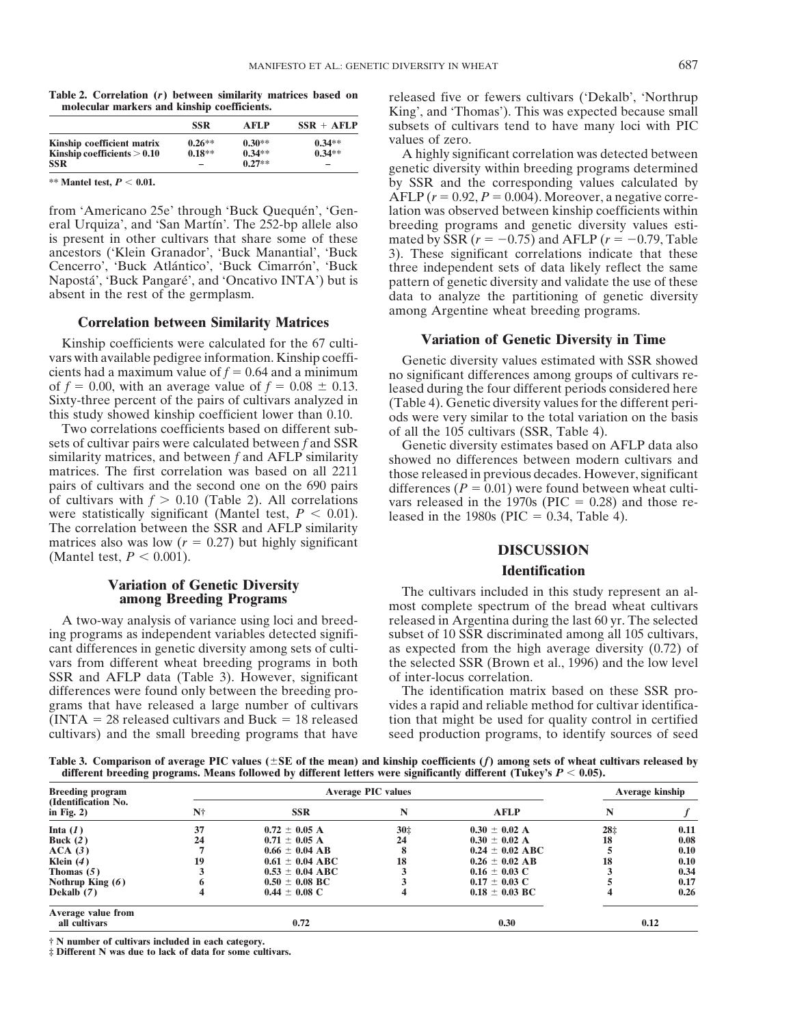|                               | <b>SSR</b> | AFLP     | $SSR + AFLP$ |
|-------------------------------|------------|----------|--------------|
| Kinship coefficient matrix    | $0.26**$   | $0.30**$ | $0.34**$     |
| Kinship coefficients $> 0.10$ | $0.18**$   | $0.34**$ | $0.34**$     |
| <b>SSR</b>                    |            | $0.27**$ |              |

eral Urquiza', and 'San Martín'. The 252-bp allele also breeding programs and genetic diversity values estiis present in other cultivars that share some of these mated by SSR  $(r = -0.75)$  and AFLP  $(r = -0.79)$ , Table ancestors ('Klein Granador', 'Buck Manantial', 'Buck 3). These significant correlations indicate that these ancestors ('Klein Granador', 'Buck Manantial', 'Buck 3). These significant correlations indicate that these Cencerro', 'Buck Atlántico', 'Buck Cimarrón', 'Buck three independent sets of data likely reflect the same Napostá', 'Buck Pangaré', and 'Oncativo INTA') but is pattern of genetic diversity and validate the use of these absent in the rest of the germplasm.

Kinship coefficients were calculated for the 67 culti- **Variation of Genetic Diversity in Time**

matrices. The first correlation was based on all 2211 those released in previous decades. However, significant pairs of cultivars and the second one on the 690 pairs differences ( $P = 0.01$ ) were found between wheat cultimatrices also was low  $(r = 0.27)$  but highly significant **DISCUSSION** (Mantel test,  $P < 0.001$ ).

ing programs as independent variables detected signifi- subset of 10 SSR discriminated among all 105 cultivars, cant differences in genetic diversity among sets of culti- as expected from the high average diversity (0.72) of vars from different wheat breeding programs in both the selected SSR (Brown et al., 1996) and the low level SSR and AFLP data (Table 3). However, significant of inter-locus correlation. differences were found only between the breeding pro-<br>grams that have released a large number of cultivars vides a rapid and reliable method for cultivar identificagrams that have released a large number of cultivars vides a rapid and reliable method for cultivar identifica-<br>(INTA = 28 released cultivars and Buck = 18 released tion that might be used for quality control in certified

Table 2. Correlation (r) between similarity matrices based on released five or fewers cultivars ('Dekalb', 'Northrup molecular markers and kinship coefficients.<br>
King', and 'Thomas'). This was expected because small subsets of cultivars tend to have many loci with PIC values of zero.<br>A highly significant correlation was detected between

**KINSK EXECUTE: 10.27\*\* COLUTE: CONSTRESS 2014 EXECUTE: EXECUTE: EXECUTE: EXECUTE: EXECUTE: EXECUTE: EXECUTE: EXECUTE: EXECUTE: EXECUTE: EXECUTE: EXECUTE: EXECUTE: EXECUTE: EXECUTE: EX** by SSR and the corresponding values calculated by AFLP  $(r = 0.92, P = 0.004)$ . Moreover, a negative correfrom 'Americano 25e' through 'Buck Quequen', 'Gen- lation was observed between kinship coefficients within data to analyze the partitioning of genetic diversity. among Argentine wheat breeding programs. **Correlation between Similarity Matrices**

vars with available pedigree information. Kinship coeffi-<br>cientic diversity values estimated with SSR showed<br>cients had a maximum value of  $f = 0.64$  and a minimum<br>Sixty-three percent of the pairs of cultivars analyzed in<br>

### **Identification**

**Variation of Genetic Diversity**<br> **Among Breeding Programs** The cultivars included in this study represent an al-<br>
most complete spectrum of the bread wheat cultivars A two-way analysis of variance using loci and breed- released in Argentina during the last 60 yr. The selected

tion that might be used for quality control in certified cultivars) and the small breeding programs that have seed production programs, to identify sources of seed

Table 3. Comparison of average PIC values ( $\pm$ SE of the mean) and kinship coefficients ( $f$ ) among sets of wheat cultivars released by different breeding programs. Means followed by different letters were significantly different (Tukey's  $P < 0.05$ ).

| <b>Breeding program</b>                     | <b>Average PIC values</b> |                     |                 |                     | Average kinship |      |
|---------------------------------------------|---------------------------|---------------------|-----------------|---------------------|-----------------|------|
| (Identification No.<br>in Fig. $2)$         | N†                        | <b>SSR</b>          | N               | <b>AFLP</b>         | N               |      |
| Inta $(1)$                                  | 37                        | $0.72 \pm 0.05$ A   | 30 <sub>2</sub> | $0.30 \pm 0.02$ A   | 28 <sub>1</sub> | 0.11 |
| Buck $(2)$                                  | 24                        | $0.71 \pm 0.05$ A   | 24              | $0.30 \pm 0.02$ A   | 18              | 0.08 |
| ACA(3)                                      |                           | $0.66 \pm 0.04$ AB  |                 | $0.24 \pm 0.02$ ABC |                 | 0.10 |
| Klein $(4)$                                 | 19                        | $0.61 \pm 0.04$ ABC | 18              | $0.26 \pm 0.02$ AB  | 18              | 0.10 |
| Thomas $(5)$                                |                           | $0.53 \pm 0.04$ ABC |                 | $0.16 \pm 0.03$ C   |                 | 0.34 |
| Nothrup King $(6)$                          |                           | $0.50 \pm 0.08$ BC  |                 | $0.17 \pm 0.03$ C   |                 | 0.17 |
| Dekalb (7)                                  |                           | $0.44 \pm 0.08$ C   |                 | $0.18 \pm 0.03$ BC  | 4               | 0.26 |
| Average value from<br>0.72<br>all cultivars |                           |                     | 0.30            |                     | 0.12            |      |

**† N number of cultivars included in each category.**

**‡ Different N was due to lack of data for some cultivars.**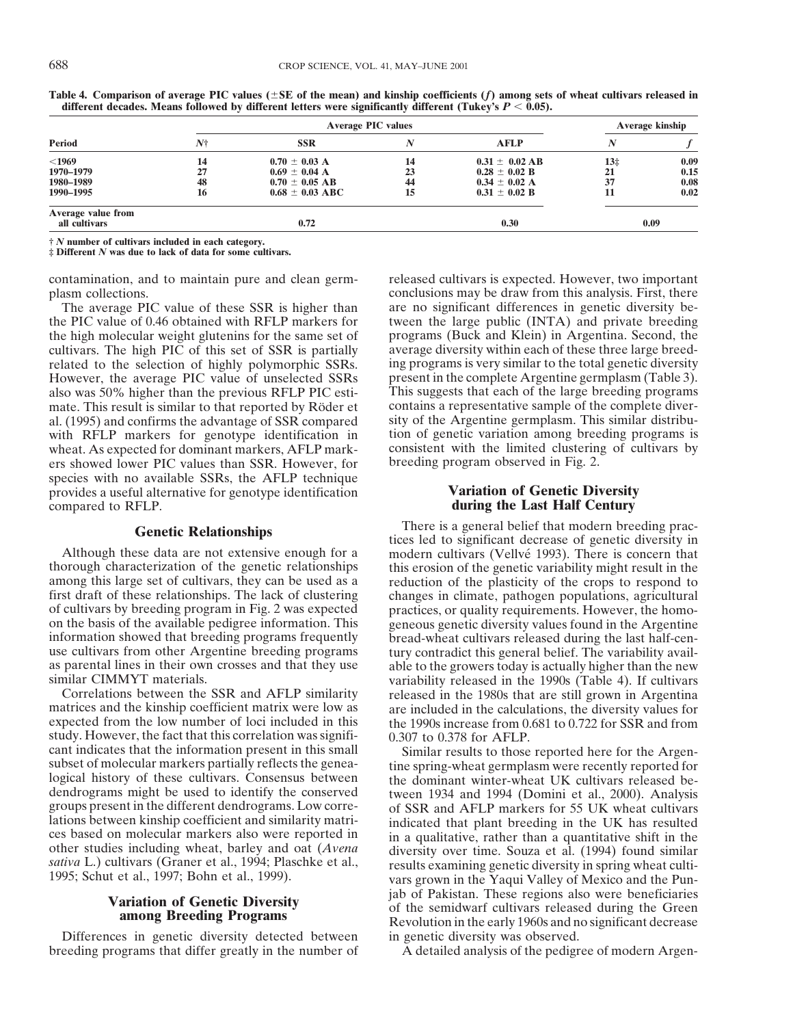|                    | <b>Average PIC values</b> |                     |    |                    | Average kinship |      |  |
|--------------------|---------------------------|---------------------|----|--------------------|-----------------|------|--|
| Period             | N†                        | <b>SSR</b>          |    | <b>AFLP</b>        |                 |      |  |
| $<$ 1969           | 14                        | $0.70 \pm 0.03$ A   | 14 | $0.31 \pm 0.02$ AB | $13+$           | 0.09 |  |
| 1970–1979          | 27                        | $0.69 \pm 0.04$ A   | 23 | $0.28 \pm 0.02$ B  | 21              | 0.15 |  |
| 1980–1989          | 48                        | $0.70 \pm 0.05$ AB  | 44 | $0.34 \pm 0.02$ A  | 37              | 0.08 |  |
| 1990–1995          | 16                        | $0.68 \pm 0.03$ ABC | 15 | $0.31 \pm 0.02$ B  | 11              | 0.02 |  |
| Average value from |                           |                     |    |                    |                 |      |  |
| all cultivars      |                           | 0.72                |    | 0.30               |                 | 0.09 |  |
|                    |                           |                     |    |                    |                 |      |  |

**Table 4. Comparison of average PIC values (** $\pm$ **SE of the mean) and kinship coefficients (** $f$ **) among sets of wheat cultivars released in** different decades. Means followed by different letters were significantly different (Tukey's  $P < 0.05$ ).

**†** *N* **number of cultivars included in each category.**

**‡ Different** *N* **was due to lack of data for some cultivars.**

the PIC value of 0.46 obtained with RFLP markers for tween the large public (INTA) and private breeding the high molecular weight glutenins for the same set of programs (Buck and Klein) in Argentina. Second, the cultivars. The high PIC of this set of SSR is partially average diversity within each of these three large breedrelated to the selection of highly polymorphic SSRs. ing programs is very similar to the total genetic diversity However, the average PIC value of unselected SSRs present in the complete Argentine germplasm (Table 3). also was 50% higher than the previous RFLP PIC esti-<br>mate. This suggests that each of the large breeding programs<br>mate. This result is similar to that reported by Röder et contains a representative sample of the complete d mate. This result is similar to that reported by Röder et contains a representative sample of the complete diver-<br>al. (1995) and confirms the advantage of SSR compared sity of the Argentine germplasm. This similar distribu al. (1995) and confirms the advantage of SSR compared sity of the Argentine germplasm. This similar distribu-<br>with RFLP markers for genotype identification in tion of genetic variation among breeding programs is with RFLP markers for genotype identification in tion of genetic variation among breeding programs is wheat. As expected for dominant markers, AFLP mark-<br>consistent with the limited clustering of cultivars by wheat. As expected for dominant markers, AFLP mark-<br>experiment with the limited clustering<br>ers showed lower PIC values than SSR. However, for breeding program observed in Fig. 2. ers showed lower PIC values than SSR. However, for species with no available SSRs, the AFLP technique provides a useful alternative for genotype identification **Variation of Genetic Diversity** compared to RFLP. **during the Last Half Century**

thorough characterization of the genetic relationships this erosion of the genetic variability might result in the among this large set of cultivars, they can be used as a reduction of the plasticity of the crops to respon among this large set of cultivars, they can be used as a reduction of the plasticity of the crops to respond to first draft of these relationships. The lack of clustering changes in climate, pathogen populations, agricultu first draft of these relationships. The lack of clustering changes in climate, pathogen populations, agricultural of cultivars by breeding program in Fig. 2 was expected practices, or quality requirements. However, the hom on the basis of the available pedigree information. This geneous genetic diversity values found in the Argentine information showed that breeding programs frequently bread-wheat cultivars released during the last half-cenuse cultivars from other Argentine breeding programs tury contradict this general belief. The variability avail-<br>as parental lines in their own crosses and that they use able to the growers today is actually higher than th

Correlations between the SSR and AFLP similarity released in the 1980s that are still grown in Argentina matrices and the kinship coefficient matrix were low as are included in the calculations, the diversity values for matrices and the kinship coefficient matrix were low as are included in the calculations, the diversity values for expected from the low number of loci included in this the 1990s increase from 0.681 to 0.722 for SSR and fr study. However, the fact that this correlation was signifi-<br>cant indicates that the information present in this small Similar results to those cant indicates that the information present in this small<br>similar results to those reported here for the Argen-<br>logical history of these cultivars. Consensus between<br>dendrograms might be used to identify the conserved<br>twee dendrograms might be used to identify the conserved tween 1934 and 1994 (Domini et al., 2000). Analysis groups present in the different dendrograms. Low corre-<br>lations between kinship coefficient and similarity matri-<br>indi

Differences in genetic diversity detected between in genetic diversity was observed. breeding programs that differ greatly in the number of A detailed analysis of the pedigree of modern Argen-

contamination, and to maintain pure and clean germ- released cultivars is expected. However, two important plasm collections. conclusions may be draw from this analysis. First, there The average PIC value of these SSR is higher than are no significant differences in genetic diversity beprograms (Buck and Klein) in Argentina. Second, the

**Genetic Relationships** There is a general belief that modern breeding prac-<br> **Genetic Relationships** tices led to significant decrease of genetic diversity in<br>
Although these data are not extensive enough for a modern cul modern cultivars (Vellvé 1993). There is concern that practices, or quality requirements. However, the homobread-wheat cultivars released during the last half-cenable to the growers today is actually higher than the new similar CIMMYT materials.<br>Correlations between the SSR and AFLP similarity released in the 1980s that are still grown in Argentina the 1990s increase from  $0.681$  to  $0.722$  for SSR and from

lations between kinship coefficient and similarity matri-<br>ces based on molecular markers also were reported in<br>other studies including wheat, barley and oat (Avena<br>sativa L.) cultivars (Graner et al., 1994; Plaschke et al. **Variation of Genetic Diversity** is bot Pakistan. These regions also were beneficiaries<br> **Solution in the example of the semidwarf cultivars released during the Green**<br>
Revolution in the early 1960s and no significant decr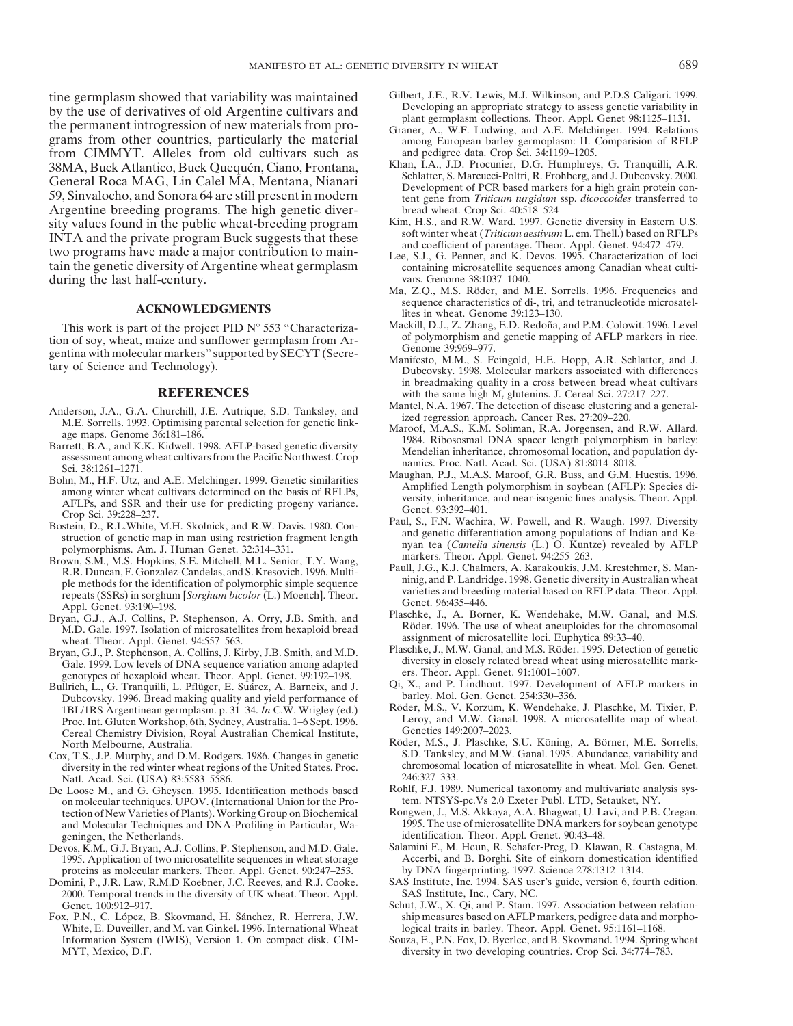tine germplasm showed that variability was maintained<br>by the use of derivatives of old Argentine cultivars and<br>the permanent introgression of new materials from pro-<br>Graner, A., W.F. Ludwing, and A.E. Melchinger. 1994. Rel grams from other countries, particularly the material among European barley germoplasm: II. Comparision of RFLP from CIMMYT. Alleles from old cultivars such as and pedigree data. Crop Sci. 34:1199–1205.<br>38MA Buck Atlantico Buck Quequén Ciano Frontana Khan, I.A., J.D. Procunier, D.G. Humphreys, G. Tranquilli, A.R. 38MA, Buck Atlantico, Buck Quequén, Ciano, Frontana,<br>
General Roca MAG, Lin Calel MA, Mentana, Nianari<br>
59, Sinvalocho, and Sonora 64 are still present in modern<br>
Triticum turgidum ssp. dicoccoides transferred to Argentine breeding programs. The high genetic diver-<br>sity values found in the public wheat-breeding program Kim, H.S., and R.W. Ward. 1997. Genetic diversity in Eastern U.S. sity values found in the public wheat-breeding program<br>INTA and the private program Buck suggests that these<br>two programs have made a major contribution to main-<br>tain the genetic diversity of Argentine wheat germplasm<br>tain tain the genetic diversity of Argentine wheat germplasm during the last half-century. vars. Genome 38:1037-1040.

tion of soy, wheat, maize and sunflower germplasm from Ar-<br>gentina with molecular markers" supported by SECYT (Secre-<br>tary of Science and Technology).<br>Dubcovsky. 1998. Molecular markers associated with differences

- 
- 
- 
- 
- repeats (SSRs) in sorghum [*Sorghum bicolor* (L.) Moench]. Theor.<br>Appl. Genet. 93:190–198.<br>Appl. Genet. 93:190–198.<br>Separate St. A. Borner, K. Wendehake, M.W. Ganal, and M.S.
- M.D. Gale. 1997. Isolation of microsatellites from hexaploid bread wheat. Theor. Appl. Genet. 94:557–563. assignment of microsatellite loci. Euphytica 89:33–40.<br>wan G I P Stephenson A Collins I Kirby IB Smith and M D Plaschke, J., M.W. Ganal, and M.S. Röder. 1995. Detection of genetic
- Gale. 1999. Low levels of DNA sequence variation among adapted diversity in closely related bread wheat genotypes of hexaploid wheat. Theor. Appl. Genet. 99:192–198.
- Bullrich, L., G. Tranquilli, L. Pflüger, E. Suárez, A. Barneix, and J. (Qi, X., and P. Lindhout. 1997. Development of archysis markers in Super-Suangers in Super-Suangers in Super-Suangers in Super-Suangers in Super-Suang Dubcovsky. 1996. Bread making quality and yield performance of barley. Mol. Gen. Genet. 254:330–336.<br>1BL/1BS Argentinean germplasm p 31–34 In C W Wrigley (ed) Röder, M.S., V. Korzum, K. Wendehake, J. Plaschke, M. Tixier, P Proc. Int. Gluten Workshop, 6th, Sydney, Australia. 1–6 Sept. 1996. Leroy, and M.W. Gana<br>Cereal Chemistry Division, Royal Australian Chemical Institute Genetics 149:2007–2023. Cereal Chemistry Division, Royal Australian Chemical Institute,
- diversity in the red winter wheat regions of the United States. Proc. chromosoma<br>Natl. Acad. Sci. (USA) 83:5583-5586
- De Loose M., and G. Gheysen. 1995. Identification methods based Rohlf, F.J. 1989. Numerical taxonomy and multivariate ana<br>on molecular techniques UPOV. (International Union for the Pro-<br>tem. NTSYS-pc. Vs 2.0 Exeter Publ. L on molecular techniques. UPOV. (International Union for the Protection of New Varieties of Plants). Working Group on Biochemical Rongwen, J., M.S. Akkaya, A.A. Bhagwat, U. Lavi, and P.B. Cregan.<br>and Molecular Techniques and DNA-Profiling in Particular, Wa- 1995. The use of microsatell and Molecular Techniques and DNA-Profiling in Particular, Wa-
- 1995. Application of two microsatellite sequences in wheat storage Accerbi, and B. Borghi. Site of einkorn domestication proteins as molecular markers. Theor. Appl. Genet. 90:247-253. by DNA fingerprinting. 1997. Science 2 proteins as molecular markers. Theor. Appl. Genet. 90:247–253. Domini, P., J.R. Law, R.M.D Koebner, J.C. Reeves, and R.J. Cooke.
- 2000. Temporal trends in the diversity of UK wheat. Theor. Appl. Genet. 100:912-917.
- Fox, P.N., C. López, B. Skovmand, H. Sánchez, R. Herrera, J.W. White, E. Duveiller, and M. van Ginkel. 1996. International Wheat logical traits in barley. Theor. Appl. Genet. 95:1161–1168.<br>Information System (IWIS), Version 1. On compact disk. CIM-<br>Souza, E., P.N. Fox, D. Byerlee, and MYT, Mexico, D.F. diversity in two developing countries. Crop Sci. 34:774–783.
- 
- 
- 
- 
- 
- Ma, Z.Q., M.S. Röder, and M.E. Sorrells. 1996. Frequencies and **SEQUENCE ACKNOWLEDGMENTS**<br>art of the project PID N° 553 "Characteriza-<br>Mackill, D.J., Z. Zhang, E.D. Redoña, and P.M. Colowit. 1996. Level
- This work is part of the project PID N° 553 "Characteriza-<br>In of sove wheat maize and sunflower germplasm from  $\Delta r$  of polymorphism and genetic mapping of AFLP markers in rice.
	- in breadmaking quality in a cross between bread wheat cultivars **REFERENCES** with the same high M<sub>r</sub> glutenins. J. Cereal Sci. 27:217–227.<br>Named, N.A. 1967. The detection of disease clustering and a general-
		-
		-
		-
- Anderson, J.A., G.A. Churchill, J.E. Autrique, S.D. Tanksley, and<br>
M.E. Sorrells, 1998. Orbitnising parental selection for genetic link-<br>
M.E. Sorrells, 1998. AFLP-based genetic diversity<br>
age maps. Genome 36:181–186.<br>
Bar
	-
- Plaschke, J., A. Borner, K. Wendehake, M.W. Ganal, and M.S. Bryan, G.J., A.J. Collins, P. Stephenson, A. Orry, J.B. Smith, and Plaschke, J., A. Borner, K. Wendehake, M.W. Ganal, and M.S. M.D. Gala 1997 Isolation of microsa
- Bryan, G.J., P. Stephenson, A. Collins, J. Kirby, J.B. Smith, and M.D. Plaschke, J., M.W. Ganal, and M.S. Roder. 1995. Detection of genetic<br>Gale 1999 Low levels of DNA sequence variation among adanted diversity in closely
	- genotypes of hexaploid wheat. Theor. Appl. Genet. 99:192–198. Fig. 11. Fieror. Appl. Genet. 91:1001–1007.<br>Ilrich L. G. Tranquilli L. Pflüger, E. Suárez, A. Barneix, and J. P. Qi, X., and P. Lindhout. 1997. Development of A
	- 1BL/1RS Argentinean germplasm. p. 31–34. *In* C.W. Wrigley (ed.) Röder, M.S., V. Korzum, K. Wendehake, J. Plaschke, M. Tixier, P. 1BL/1RS Argentinean germplasm. p. 31–34. *In* C.W. Wrigley (ed.) Röder, M.S., V. Korzum, K.
- North Melbourne, Australia. (Roïder, M.S., J. Plaschke, S.U. Köning, A. Börner, M.E. Sorrells, Rochen and D.M. Rodeers. 1986. Changes in genetic S.D. Tanksley, and M.W. Ganal. 1995. Abundance, variability and M.W. Ganal. 1 Cox, T.S., J.P. Murphy, and D.M. Rodgers. 1986. Changes in genetic S.D. Tanksley, and M.W. Ganal. 1995. Abundance, variability and diversity in the red winter wheat regions of the United States. Proc. chromosomal location
	- Natl. Acad. Sci. (USA) 83:5583–5586.<br>246:327–333. 200se M., and G. Gheysen. 1995. Identification methods based Rohlf, F.J. 1989. Numerical taxonomy and multivariate analysis sys-
	- geningen, the Netherlands.<br>
	geningen, the Netherlands.<br>
	geningen, theor. Appl. Genet. 90:43–48.<br>
	Salamini F., M. Heun, R. Schafer-Preg, D. Klawan, R. Castagna, M. Versagna, M. Schafer-Preg, D. Klawan, R. Castagna, M.
- Devos, K.M., G.J. Bryan, A.J. Collins, P. Stephenson, and M.D. Gale. Salamini F., M. Heun, R. Schafer-Preg, D. Klawan, R. Castagna, M.
	- SAS Institute, Inc. 1994. SAS user's guide, version 6, fourth edition.<br>SAS Institute, Inc., Cary, NC.
	- Schut, J.W., X. Qi, and P. Stam. 1997. Association between relation-<br>ship measures based on AFLP markers, pedigree data and morpho-
	- Souza, E., P.N. Fox, D. Byerlee, and B. Skovmand. 1994. Spring wheat